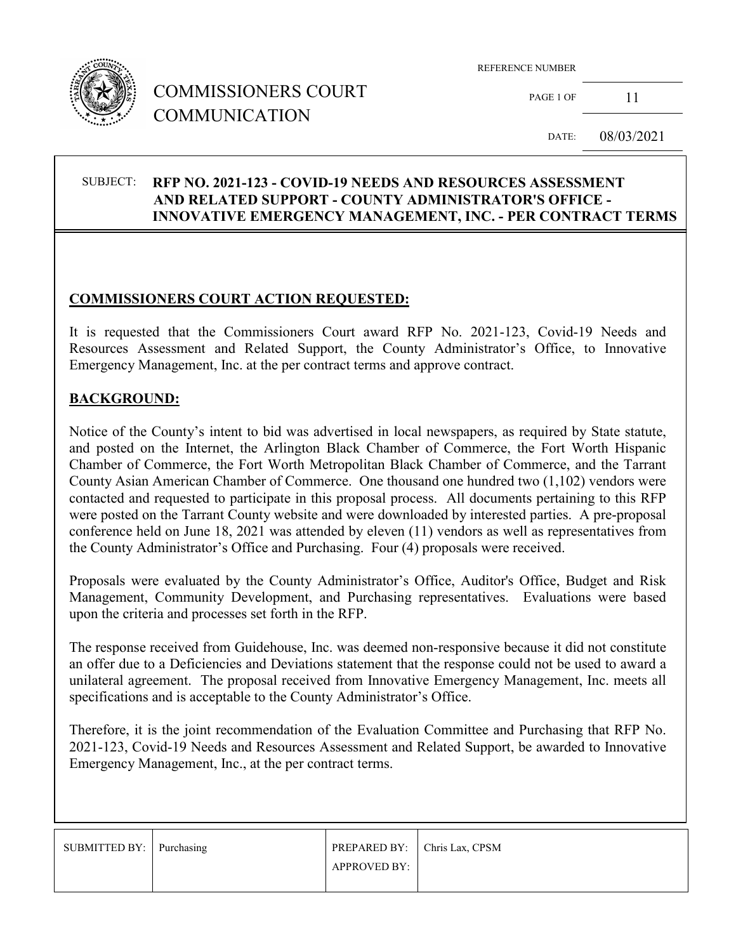

# COMMISSIONERS COURT COMMUNICATION

REFERENCE NUMBER

PAGE 1 OF 11

DATE: 08/03/2021

### SUBJECT: **RFP NO. 2021-123 - COVID-19 NEEDS AND RESOURCES ASSESSMENT AND RELATED SUPPORT - COUNTY ADMINISTRATOR'S OFFICE - INNOVATIVE EMERGENCY MANAGEMENT, INC. - PER CONTRACT TERMS**

### **COMMISSIONERS COURT ACTION REQUESTED:**

It is requested that the Commissioners Court award RFP No. 2021-123, Covid-19 Needs and Resources Assessment and Related Support, the County Administrator's Office, to Innovative Emergency Management, Inc. at the per contract terms and approve contract.

#### **BACKGROUND:**

Notice of the County's intent to bid was advertised in local newspapers, as required by State statute, and posted on the Internet, the Arlington Black Chamber of Commerce, the Fort Worth Hispanic Chamber of Commerce, the Fort Worth Metropolitan Black Chamber of Commerce, and the Tarrant County Asian American Chamber of Commerce. One thousand one hundred two (1,102) vendors were contacted and requested to participate in this proposal process. All documents pertaining to this RFP were posted on the Tarrant County website and were downloaded by interested parties. A pre-proposal conference held on June 18, 2021 was attended by eleven (11) vendors as well as representatives from the County Administrator's Office and Purchasing. Four (4) proposals were received.

Proposals were evaluated by the County Administrator's Office, Auditor's Office, Budget and Risk Management, Community Development, and Purchasing representatives. Evaluations were based upon the criteria and processes set forth in the RFP.

The response received from Guidehouse, Inc. was deemed non-responsive because it did not constitute an offer due to a Deficiencies and Deviations statement that the response could not be used to award a unilateral agreement. The proposal received from Innovative Emergency Management, Inc. meets all specifications and is acceptable to the County Administrator's Office.

Therefore, it is the joint recommendation of the Evaluation Committee and Purchasing that RFP No. 2021-123, Covid-19 Needs and Resources Assessment and Related Support, be awarded to Innovative Emergency Management, Inc., at the per contract terms.

| SUBMITTED BY: Purchasing | PREPARED BY: Chris Lax, CPSM |  |
|--------------------------|------------------------------|--|
|                          | <b>APPROVED BY:</b>          |  |